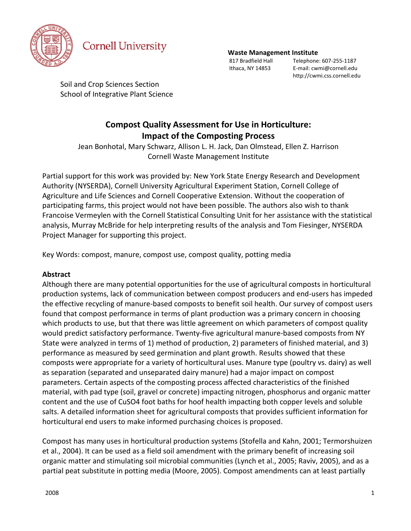

# **Cornell University**

#### **Waste Management Institute**

 817 Bradfield Hall Telephone: 607-255-1187 Ithaca, NY 14853 E-mail: cwmi@cornell.edu http://cwmi.css.cornell.edu

Soil and Crop Sciences Section School of Integrative Plant Science

# **Compost Quality Assessment for Use in Horticulture: Impact of the Composting Process**

Jean Bonhotal, Mary Schwarz, Allison L. H. Jack, Dan Olmstead, Ellen Z. Harrison Cornell Waste Management Institute

Partial support for this work was provided by: New York State Energy Research and Development Authority (NYSERDA), Cornell University Agricultural Experiment Station, Cornell College of Agriculture and Life Sciences and Cornell Cooperative Extension. Without the cooperation of participating farms, this project would not have been possible. The authors also wish to thank Francoise Vermeylen with the Cornell Statistical Consulting Unit for her assistance with the statistical analysis, Murray McBride for help interpreting results of the analysis and Tom Fiesinger, NYSERDA Project Manager for supporting this project.

Key Words: compost, manure, compost use, compost quality, potting media

# **Abstract**

Although there are many potential opportunities for the use of agricultural composts in horticultural production systems, lack of communication between compost producers and end-users has impeded the effective recycling of manure-based composts to benefit soil health. Our survey of compost users found that compost performance in terms of plant production was a primary concern in choosing which products to use, but that there was little agreement on which parameters of compost quality would predict satisfactory performance. Twenty-five agricultural manure-based composts from NY State were analyzed in terms of 1) method of production, 2) parameters of finished material, and 3) performance as measured by seed germination and plant growth. Results showed that these composts were appropriate for a variety of horticultural uses. Manure type (poultry vs. dairy) as well as separation (separated and unseparated dairy manure) had a major impact on compost parameters. Certain aspects of the composting process affected characteristics of the finished material, with pad type (soil, gravel or concrete) impacting nitrogen, phosphorus and organic matter content and the use of CuSO4 foot baths for hoof health impacting both copper levels and soluble salts. A detailed information sheet for agricultural composts that provides sufficient information for horticultural end users to make informed purchasing choices is proposed.

Compost has many uses in horticultural production systems (Stofella and Kahn, 2001; Termorshuizen et al., 2004). It can be used as a field soil amendment with the primary benefit of increasing soil organic matter and stimulating soil microbial communities (Lynch et al., 2005; Raviv, 2005), and as a partial peat substitute in potting media (Moore, 2005). Compost amendments can at least partially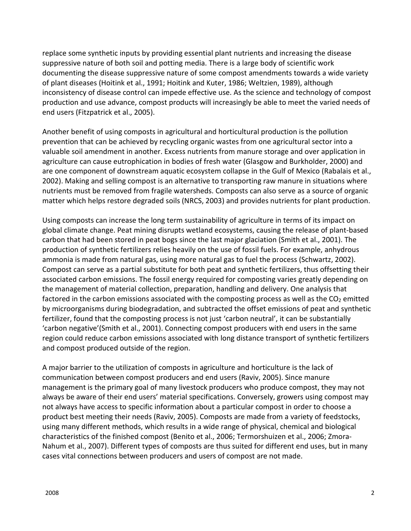replace some synthetic inputs by providing essential plant nutrients and increasing the disease suppressive nature of both soil and potting media. There is a large body of scientific work documenting the disease suppressive nature of some compost amendments towards a wide variety of plant diseases (Hoitink et al., 1991; Hoitink and Kuter, 1986; Weltzien, 1989), although inconsistency of disease control can impede effective use. As the science and technology of compost production and use advance, compost products will increasingly be able to meet the varied needs of end users (Fitzpatrick et al., 2005).

Another benefit of using composts in agricultural and horticultural production is the pollution prevention that can be achieved by recycling organic wastes from one agricultural sector into a valuable soil amendment in another. Excess nutrients from manure storage and over application in agriculture can cause eutrophication in bodies of fresh water (Glasgow and Burkholder, 2000) and are one component of downstream aquatic ecosystem collapse in the Gulf of Mexico (Rabalais et al., 2002). Making and selling compost is an alternative to transporting raw manure in situations where nutrients must be removed from fragile watersheds. Composts can also serve as a source of organic matter which helps restore degraded soils (NRCS, 2003) and provides nutrients for plant production.

Using composts can increase the long term sustainability of agriculture in terms of its impact on global climate change. Peat mining disrupts wetland ecosystems, causing the release of plant-based carbon that had been stored in peat bogs since the last major glaciation (Smith et al., 2001). The production of synthetic fertilizers relies heavily on the use of fossil fuels. For example, anhydrous ammonia is made from natural gas, using more natural gas to fuel the process (Schwartz, 2002). Compost can serve as a partial substitute for both peat and synthetic fertilizers, thus offsetting their associated carbon emissions. The fossil energy required for composting varies greatly depending on the management of material collection, preparation, handling and delivery. One analysis that factored in the carbon emissions associated with the composting process as well as the  $CO<sub>2</sub>$  emitted by microorganisms during biodegradation, and subtracted the offset emissions of peat and synthetic fertilizer, found that the composting process is not just 'carbon neutral', it can be substantially 'carbon negative'(Smith et al., 2001). Connecting compost producers with end users in the same region could reduce carbon emissions associated with long distance transport of synthetic fertilizers and compost produced outside of the region.

A major barrier to the utilization of composts in agriculture and horticulture is the lack of communication between compost producers and end users (Raviv, 2005). Since manure management is the primary goal of many livestock producers who produce compost, they may not always be aware of their end users' material specifications. Conversely, growers using compost may not always have access to specific information about a particular compost in order to choose a product best meeting their needs (Raviv, 2005). Composts are made from a variety of feedstocks, using many different methods, which results in a wide range of physical, chemical and biological characteristics of the finished compost (Benito et al., 2006; Termorshuizen et al., 2006; Zmora-Nahum et al., 2007). Different types of composts are thus suited for different end uses, but in many cases vital connections between producers and users of compost are not made.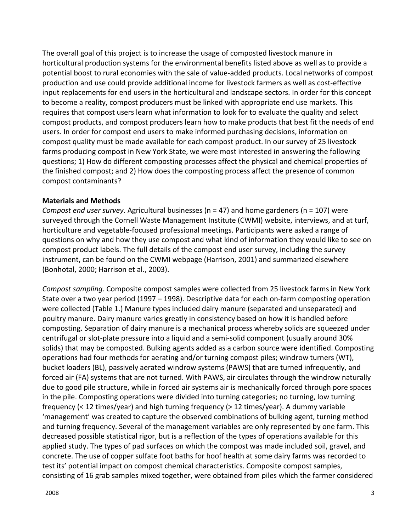The overall goal of this project is to increase the usage of composted livestock manure in horticultural production systems for the environmental benefits listed above as well as to provide a potential boost to rural economies with the sale of value-added products. Local networks of compost production and use could provide additional income for livestock farmers as well as cost-effective input replacements for end users in the horticultural and landscape sectors. In order for this concept to become a reality, compost producers must be linked with appropriate end use markets. This requires that compost users learn what information to look for to evaluate the quality and select compost products, and compost producers learn how to make products that best fit the needs of end users. In order for compost end users to make informed purchasing decisions, information on compost quality must be made available for each compost product. In our survey of 25 livestock farms producing compost in New York State, we were most interested in answering the following questions; 1) How do different composting processes affect the physical and chemical properties of the finished compost; and 2) How does the composting process affect the presence of common compost contaminants?

#### **Materials and Methods**

*Compost end user survey*. Agricultural businesses (n = 47) and home gardeners (n = 107) were surveyed through the Cornell Waste Management Institute (CWMI) website, interviews, and at turf, horticulture and vegetable-focused professional meetings. Participants were asked a range of questions on why and how they use compost and what kind of information they would like to see on compost product labels. The full details of the compost end user survey, including the survey instrument, can be found on the CWMI webpage (Harrison, 2001) and summarized elsewhere (Bonhotal, 2000; Harrison et al., 2003).

*Compost sampling*. Composite compost samples were collected from 25 livestock farms in New York State over a two year period (1997 – 1998). Descriptive data for each on-farm composting operation were collected (Table 1.) Manure types included dairy manure (separated and unseparated) and poultry manure. Dairy manure varies greatly in consistency based on how it is handled before composting. Separation of dairy manure is a mechanical process whereby solids are squeezed under centrifugal or slot-plate pressure into a liquid and a semi-solid component (usually around 30% solids) that may be composted. Bulking agents added as a carbon source were identified. Composting operations had four methods for aerating and/or turning compost piles; windrow turners (WT), bucket loaders (BL), passively aerated windrow systems (PAWS) that are turned infrequently, and forced air (FA) systems that are not turned. With PAWS, air circulates through the windrow naturally due to good pile structure, while in forced air systems air is mechanically forced through pore spaces in the pile. Composting operations were divided into turning categories; no turning, low turning frequency (< 12 times/year) and high turning frequency (> 12 times/year). A dummy variable 'management' was created to capture the observed combinations of bulking agent, turning method and turning frequency. Several of the management variables are only represented by one farm. This decreased possible statistical rigor, but is a reflection of the types of operations available for this applied study. The types of pad surfaces on which the compost was made included soil, gravel, and concrete. The use of copper sulfate foot baths for hoof health at some dairy farms was recorded to test its' potential impact on compost chemical characteristics. Composite compost samples, consisting of 16 grab samples mixed together, were obtained from piles which the farmer considered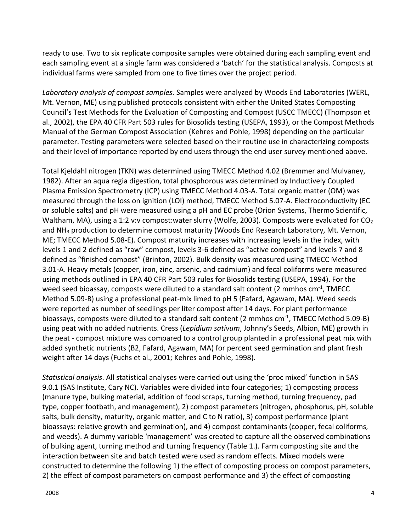ready to use. Two to six replicate composite samples were obtained during each sampling event and each sampling event at a single farm was considered a 'batch' for the statistical analysis. Composts at individual farms were sampled from one to five times over the project period.

*Laboratory analysis of compost samples.* Samples were analyzed by Woods End Laboratories (WERL, Mt. Vernon, ME) using published protocols consistent with either the United States Composting Council's Test Methods for the Evaluation of Composting and Compost (USCC TMECC) (Thompson et al., 2002), the EPA 40 CFR Part 503 rules for Biosolids testing (USEPA, 1993), or the Compost Methods Manual of the German Compost Association (Kehres and Pohle, 1998) depending on the particular parameter. Testing parameters were selected based on their routine use in characterizing composts and their level of importance reported by end users through the end user survey mentioned above.

Total Kjeldahl nitrogen (TKN) was determined using TMECC Method 4.02 (Bremmer and Mulvaney, 1982). After an aqua regia digestion, total phosphorous was determined by Inductively Coupled Plasma Emission Spectrometry (ICP) using TMECC Method 4.03-A. Total organic matter (OM) was measured through the loss on ignition (LOI) method, TMECC Method 5.07-A. Electroconductivity (EC or soluble salts) and pH were measured using a pH and EC probe (Orion Systems, Thermo Scientific, Waltham, MA), using a 1:2 v:v compost:water slurry (Wolfe, 2003). Composts were evaluated for  $CO<sub>2</sub>$ and NH<sub>3</sub> production to determine compost maturity (Woods End Research Laboratory, Mt. Vernon, ME; TMECC Method 5.08-E). Compost maturity increases with increasing levels in the index, with levels 1 and 2 defined as "raw" compost, levels 3-6 defined as "active compost" and levels 7 and 8 defined as "finished compost" (Brinton, 2002). Bulk density was measured using TMECC Method 3.01-A. Heavy metals (copper, iron, zinc, arsenic, and cadmium) and fecal coliforms were measured using methods outlined in EPA 40 CFR Part 503 rules for Biosolids testing (USEPA, 1994). For the weed seed bioassay, composts were diluted to a standard salt content (2 mmhos  $cm<sup>-1</sup>$ , TMECC Method 5.09-B) using a professional peat-mix limed to pH 5 (Fafard, Agawam, MA). Weed seeds were reported as number of seedlings per liter compost after 14 days. For plant performance bioassays, composts were diluted to a standard salt content (2 mmhos  $cm<sup>-1</sup>$ , TMECC Method 5.09-B) using peat with no added nutrients. Cress (*Lepidium sativum*, Johnny's Seeds, Albion, ME) growth in the peat - compost mixture was compared to a control group planted in a professional peat mix with added synthetic nutrients (B2, Fafard, Agawam, MA) for percent seed germination and plant fresh weight after 14 days (Fuchs et al., 2001; Kehres and Pohle, 1998).

*Statistical analysis*. All statistical analyses were carried out using the 'proc mixed' function in SAS 9.0.1 (SAS Institute, Cary NC). Variables were divided into four categories; 1) composting process (manure type, bulking material, addition of food scraps, turning method, turning frequency, pad type, copper footbath, and management), 2) compost parameters (nitrogen, phosphorus, pH, soluble salts, bulk density, maturity, organic matter, and C to N ratio), 3) compost performance (plant bioassays: relative growth and germination), and 4) compost contaminants (copper, fecal coliforms, and weeds). A dummy variable 'management' was created to capture all the observed combinations of bulking agent, turning method and turning frequency (Table 1.). Farm composting site and the interaction between site and batch tested were used as random effects. Mixed models were constructed to determine the following 1) the effect of composting process on compost parameters, 2) the effect of compost parameters on compost performance and 3) the effect of composting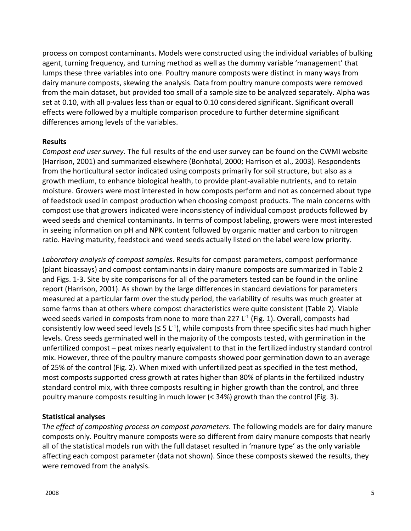process on compost contaminants. Models were constructed using the individual variables of bulking agent, turning frequency, and turning method as well as the dummy variable 'management' that lumps these three variables into one. Poultry manure composts were distinct in many ways from dairy manure composts, skewing the analysis. Data from poultry manure composts were removed from the main dataset, but provided too small of a sample size to be analyzed separately. Alpha was set at 0.10, with all p-values less than or equal to 0.10 considered significant. Significant overall effects were followed by a multiple comparison procedure to further determine significant differences among levels of the variables.

#### **Results**

*Compost end user survey*. The full results of the end user survey can be found on the CWMI website (Harrison, 2001) and summarized elsewhere (Bonhotal, 2000; Harrison et al., 2003). Respondents from the horticultural sector indicated using composts primarily for soil structure, but also as a growth medium, to enhance biological health, to provide plant-available nutrients, and to retain moisture. Growers were most interested in how composts perform and not as concerned about type of feedstock used in compost production when choosing compost products. The main concerns with compost use that growers indicated were inconsistency of individual compost products followed by weed seeds and chemical contaminants. In terms of compost labeling, growers were most interested in seeing information on pH and NPK content followed by organic matter and carbon to nitrogen ratio. Having maturity, feedstock and weed seeds actually listed on the label were low priority.

*Laboratory analysis of compost samples*. Results for compost parameters, compost performance (plant bioassays) and compost contaminants in dairy manure composts are summarized in Table 2 and Figs. 1-3. Site by site comparisons for all of the parameters tested can be found in the online report (Harrison, 2001). As shown by the large differences in standard deviations for parameters measured at a particular farm over the study period, the variability of results was much greater at some farms than at others where compost characteristics were quite consistent (Table 2). Viable weed seeds varied in composts from none to more than 227  $L<sup>-1</sup>$  (Fig. 1). Overall, composts had consistently low weed seed levels ( $\leq 5$  L<sup>-1</sup>), while composts from three specific sites had much higher levels. Cress seeds germinated well in the majority of the composts tested, with germination in the unfertilized compost – peat mixes nearly equivalent to that in the fertilized industry standard control mix. However, three of the poultry manure composts showed poor germination down to an average of 25% of the control (Fig. 2). When mixed with unfertilized peat as specified in the test method, most composts supported cress growth at rates higher than 80% of plants in the fertilized industry standard control mix, with three composts resulting in higher growth than the control, and three poultry manure composts resulting in much lower (< 34%) growth than the control (Fig. 3).

#### **Statistical analyses**

T*he effect of composting process on compost parameters*. The following models are for dairy manure composts only. Poultry manure composts were so different from dairy manure composts that nearly all of the statistical models run with the full dataset resulted in 'manure type' as the only variable affecting each compost parameter (data not shown). Since these composts skewed the results, they were removed from the analysis.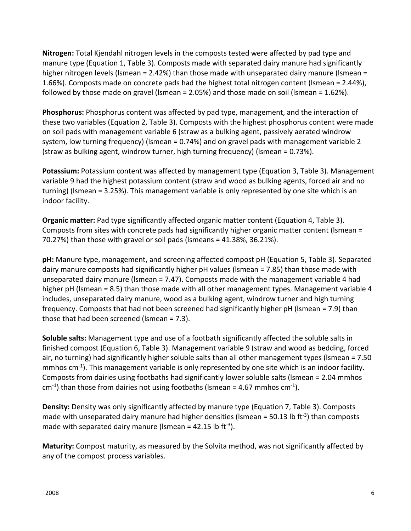**Nitrogen:** Total Kjendahl nitrogen levels in the composts tested were affected by pad type and manure type (Equation 1, Table 3). Composts made with separated dairy manure had significantly higher nitrogen levels (lsmean = 2.42%) than those made with unseparated dairy manure (lsmean = 1.66%). Composts made on concrete pads had the highest total nitrogen content (lsmean = 2.44%), followed by those made on gravel (lsmean = 2.05%) and those made on soil (lsmean = 1.62%).

**Phosphorus:** Phosphorus content was affected by pad type, management, and the interaction of these two variables (Equation 2, Table 3). Composts with the highest phosphorus content were made on soil pads with management variable 6 (straw as a bulking agent, passively aerated windrow system, low turning frequency) (lsmean = 0.74%) and on gravel pads with management variable 2 (straw as bulking agent, windrow turner, high turning frequency) (lsmean = 0.73%).

**Potassium:** Potassium content was affected by management type (Equation 3, Table 3). Management variable 9 had the highest potassium content (straw and wood as bulking agents, forced air and no turning) (lsmean = 3.25%). This management variable is only represented by one site which is an indoor facility.

**Organic matter:** Pad type significantly affected organic matter content (Equation 4, Table 3). Composts from sites with concrete pads had significantly higher organic matter content (lsmean = 70.27%) than those with gravel or soil pads (lsmeans = 41.38%, 36.21%).

**pH:** Manure type, management, and screening affected compost pH (Equation 5, Table 3). Separated dairy manure composts had significantly higher pH values (lsmean = 7.85) than those made with unseparated dairy manure (lsmean = 7.47). Composts made with the management variable 4 had higher pH (lsmean = 8.5) than those made with all other management types. Management variable 4 includes, unseparated dairy manure, wood as a bulking agent, windrow turner and high turning frequency. Composts that had not been screened had significantly higher pH (lsmean = 7.9) than those that had been screened (lsmean = 7.3).

**Soluble salts:** Management type and use of a footbath significantly affected the soluble salts in finished compost (Equation 6, Table 3). Management variable 9 (straw and wood as bedding, forced air, no turning) had significantly higher soluble salts than all other management types (lsmean = 7.50 mmhos cm<sup>-1</sup>). This management variable is only represented by one site which is an indoor facility. Composts from dairies using footbaths had significantly lower soluble salts (lsmean = 2.04 mmhos  $cm<sup>-1</sup>$ ) than those from dairies not using footbaths (Ismean = 4.67 mmhos cm<sup>-1</sup>).

**Density:** Density was only significantly affected by manure type (Equation 7, Table 3). Composts made with unseparated dairy manure had higher densities (Ismean = 50.13 lb ft<sup>-3</sup>) than composts made with separated dairy manure (Ismean = 42.15 lb ft<sup>-3</sup>).

**Maturity:** Compost maturity, as measured by the Solvita method, was not significantly affected by any of the compost process variables.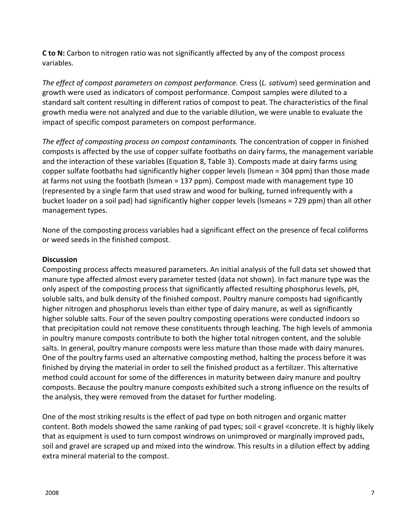**C to N:** Carbon to nitrogen ratio was not significantly affected by any of the compost process variables.

*The effect of compost parameters on compost performance.* Cress (*L. sativum*) seed germination and growth were used as indicators of compost performance. Compost samples were diluted to a standard salt content resulting in different ratios of compost to peat. The characteristics of the final growth media were not analyzed and due to the variable dilution, we were unable to evaluate the impact of specific compost parameters on compost performance.

*The effect of composting process on compost contaminants.* The concentration of copper in finished composts is affected by the use of copper sulfate footbaths on dairy farms, the management variable and the interaction of these variables (Equation 8, Table 3). Composts made at dairy farms using copper sulfate footbaths had significantly higher copper levels (lsmean = 304 ppm) than those made at farms not using the footbath (lsmean = 137 ppm). Compost made with management type 10 (represented by a single farm that used straw and wood for bulking, turned infrequently with a bucket loader on a soil pad) had significantly higher copper levels (lsmeans = 729 ppm) than all other management types.

None of the composting process variables had a significant effect on the presence of fecal coliforms or weed seeds in the finished compost.

# **Discussion**

Composting process affects measured parameters. An initial analysis of the full data set showed that manure type affected almost every parameter tested (data not shown). In fact manure type was the only aspect of the composting process that significantly affected resulting phosphorus levels, pH, soluble salts, and bulk density of the finished compost. Poultry manure composts had significantly higher nitrogen and phosphorus levels than either type of dairy manure, as well as significantly higher soluble salts. Four of the seven poultry composting operations were conducted indoors so that precipitation could not remove these constituents through leaching. The high levels of ammonia in poultry manure composts contribute to both the higher total nitrogen content, and the soluble salts. In general, poultry manure composts were less mature than those made with dairy manures. One of the poultry farms used an alternative composting method, halting the process before it was finished by drying the material in order to sell the finished product as a fertilizer. This alternative method could account for some of the differences in maturity between dairy manure and poultry composts. Because the poultry manure composts exhibited such a strong influence on the results of the analysis, they were removed from the dataset for further modeling.

One of the most striking results is the effect of pad type on both nitrogen and organic matter content. Both models showed the same ranking of pad types; soil < gravel <concrete. It is highly likely that as equipment is used to turn compost windrows on unimproved or marginally improved pads, soil and gravel are scraped up and mixed into the windrow. This results in a dilution effect by adding extra mineral material to the compost.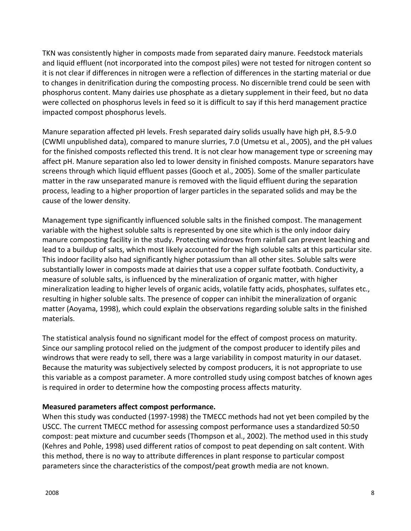TKN was consistently higher in composts made from separated dairy manure. Feedstock materials and liquid effluent (not incorporated into the compost piles) were not tested for nitrogen content so it is not clear if differences in nitrogen were a reflection of differences in the starting material or due to changes in denitrification during the composting process. No discernible trend could be seen with phosphorus content. Many dairies use phosphate as a dietary supplement in their feed, but no data were collected on phosphorus levels in feed so it is difficult to say if this herd management practice impacted compost phosphorus levels.

Manure separation affected pH levels. Fresh separated dairy solids usually have high pH, 8.5-9.0 (CWMI unpublished data), compared to manure slurries, 7.0 (Umetsu et al., 2005), and the pH values for the finished composts reflected this trend. It is not clear how management type or screening may affect pH. Manure separation also led to lower density in finished composts. Manure separators have screens through which liquid effluent passes (Gooch et al., 2005). Some of the smaller particulate matter in the raw unseparated manure is removed with the liquid effluent during the separation process, leading to a higher proportion of larger particles in the separated solids and may be the cause of the lower density.

Management type significantly influenced soluble salts in the finished compost. The management variable with the highest soluble salts is represented by one site which is the only indoor dairy manure composting facility in the study. Protecting windrows from rainfall can prevent leaching and lead to a buildup of salts, which most likely accounted for the high soluble salts at this particular site. This indoor facility also had significantly higher potassium than all other sites. Soluble salts were substantially lower in composts made at dairies that use a copper sulfate footbath. Conductivity, a measure of soluble salts, is influenced by the mineralization of organic matter, with higher mineralization leading to higher levels of organic acids, volatile fatty acids, phosphates, sulfates etc., resulting in higher soluble salts. The presence of copper can inhibit the mineralization of organic matter (Aoyama, 1998), which could explain the observations regarding soluble salts in the finished materials.

The statistical analysis found no significant model for the effect of compost process on maturity. Since our sampling protocol relied on the judgment of the compost producer to identify piles and windrows that were ready to sell, there was a large variability in compost maturity in our dataset. Because the maturity was subjectively selected by compost producers, it is not appropriate to use this variable as a compost parameter. A more controlled study using compost batches of known ages is required in order to determine how the composting process affects maturity.

# **Measured parameters affect compost performance.**

When this study was conducted (1997-1998) the TMECC methods had not yet been compiled by the USCC. The current TMECC method for assessing compost performance uses a standardized 50:50 compost: peat mixture and cucumber seeds (Thompson et al., 2002). The method used in this study (Kehres and Pohle, 1998) used different ratios of compost to peat depending on salt content. With this method, there is no way to attribute differences in plant response to particular compost parameters since the characteristics of the compost/peat growth media are not known.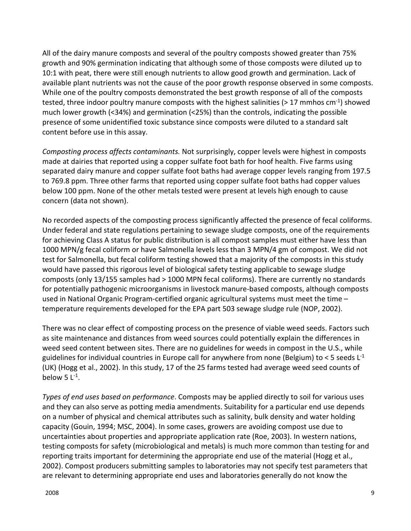All of the dairy manure composts and several of the poultry composts showed greater than 75% growth and 90% germination indicating that although some of those composts were diluted up to 10:1 with peat, there were still enough nutrients to allow good growth and germination. Lack of available plant nutrients was not the cause of the poor growth response observed in some composts. While one of the poultry composts demonstrated the best growth response of all of the composts tested, three indoor poultry manure composts with the highest salinities ( $> 17$  mmhos cm<sup>-1</sup>) showed much lower growth (<34%) and germination (<25%) than the controls, indicating the possible presence of some unidentified toxic substance since composts were diluted to a standard salt content before use in this assay.

*Composting process affects contaminants.* Not surprisingly, copper levels were highest in composts made at dairies that reported using a copper sulfate foot bath for hoof health. Five farms using separated dairy manure and copper sulfate foot baths had average copper levels ranging from 197.5 to 769.8 ppm. Three other farms that reported using copper sulfate foot baths had copper values below 100 ppm. None of the other metals tested were present at levels high enough to cause concern (data not shown).

No recorded aspects of the composting process significantly affected the presence of fecal coliforms. Under federal and state regulations pertaining to sewage sludge composts, one of the requirements for achieving Class A status for public distribution is all compost samples must either have less than 1000 MPN/g fecal coliform or have Salmonella levels less than 3 MPN/4 gm of compost. We did not test for Salmonella, but fecal coliform testing showed that a majority of the composts in this study would have passed this rigorous level of biological safety testing applicable to sewage sludge composts (only 13/155 samples had > 1000 MPN fecal coliforms). There are currently no standards for potentially pathogenic microorganisms in livestock manure-based composts, although composts used in National Organic Program-certified organic agricultural systems must meet the time – temperature requirements developed for the EPA part 503 sewage sludge rule (NOP, 2002).

There was no clear effect of composting process on the presence of viable weed seeds. Factors such as site maintenance and distances from weed sources could potentially explain the differences in weed seed content between sites. There are no guidelines for weeds in compost in the U.S., while guidelines for individual countries in Europe call for anywhere from none (Belgium) to  $<$  5 seeds L<sup>-1</sup> (UK) (Hogg et al., 2002). In this study, 17 of the 25 farms tested had average weed seed counts of below 5  $L^{-1}$ .

*Types of end uses based on performance*. Composts may be applied directly to soil for various uses and they can also serve as potting media amendments. Suitability for a particular end use depends on a number of physical and chemical attributes such as salinity, bulk density and water holding capacity (Gouin, 1994; MSC, 2004). In some cases, growers are avoiding compost use due to uncertainties about properties and appropriate application rate (Roe, 2003). In western nations, testing composts for safety (microbiological and metals) is much more common than testing for and reporting traits important for determining the appropriate end use of the material (Hogg et al., 2002). Compost producers submitting samples to laboratories may not specify test parameters that are relevant to determining appropriate end uses and laboratories generally do not know the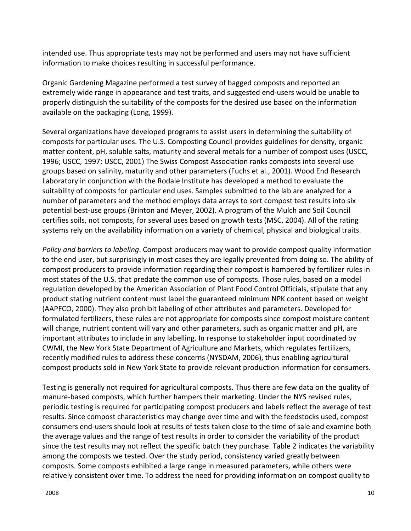intended use. Thus appropriate tests may not be performed and users may not have sufficient information to make choices resulting in successful performance.

Organic Gardening Magazine performed a test survey of bagged composts and reported an extremely wide range in appearance and test traits, and suggested end-users would be unable to properly distinguish the suitability of the composts for the desired use based on the information available on the packaging (Long, 1999).

Several organizations have developed programs to assist users in determining the suitability of composts for particular uses. The U.S. Composting Council provides guidelines for density, organic matter content, pH, soluble salts, maturity and several metals for a number of compost uses (USCC, 1996; USCC, 1997; USCC, 2001) The Swiss Compost Association ranks composts into several use groups based on salinity, maturity and other parameters (Fuchs et al., 2001). Wood End Research Laboratory in conjunction with the Rodale Institute has developed a method to evaluate the suitability of composts for particular end uses. Samples submitted to the lab are analyzed for a number of parameters and the method employs data arrays to sort compost test results into six potential best-use groups (Brinton and Meyer, 2002). A program of the Mulch and Soil Council certifies soils, not composts, for several uses based on growth tests (MSC, 2004). All of the rating systems rely on the availability information on a variety of chemical, physical and biological traits.

*Policy and barriers to labeling*. Compost producers may want to provide compost quality information to the end user, but surprisingly in most cases they are legally prevented from doing so. The ability of compost producers to provide information regarding their compost is hampered by fertilizer rules in most states of the U.S. that predate the common use of composts. Those rules, based on a model regulation developed by the American Association of Plant Food Control Officials, stipulate that any product stating nutrient content must label the guaranteed minimum NPK content based on weight (AAPFCO, 2000). They also prohibit labeling of other attributes and parameters. Developed for formulated fertilizers, these rules are not appropriate for composts since compost moisture content will change, nutrient content will vary and other parameters, such as organic matter and pH, are important attributes to include in any labelling. In response to stakeholder input coordinated by CWMI, the New York State Department of Agriculture and Markets, which regulates fertilizers, recently modified rules to address these concerns (NYSDAM, 2006), thus enabling agricultural compost products sold in New York State to provide relevant production information for consumers.

Testing is generally not required for agricultural composts. Thus there are few data on the quality of manure-based composts, which further hampers their marketing. Under the NYS revised rules, periodic testing is required for participating compost producers and labels reflect the average of test results. Since compost characteristics may change over time and with the feedstocks used, compost consumers end-users should look at results of tests taken close to the time of sale and examine both the average values and the range of test results in order to consider the variability of the product since the test results may not reflect the specific batch they purchase. Table 2 indicates the variability among the composts we tested. Over the study period, consistency varied greatly between composts. Some composts exhibited a large range in measured parameters, while others were relatively consistent over time. To address the need for providing information on compost quality to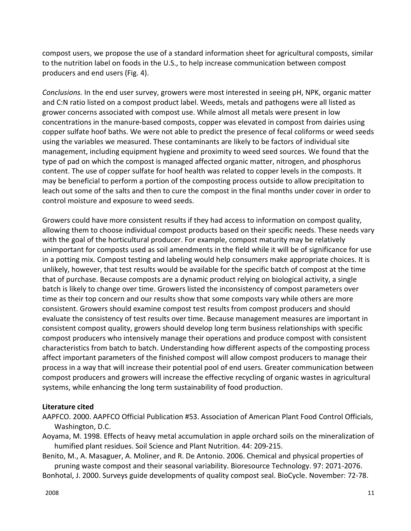compost users, we propose the use of a standard information sheet for agricultural composts, similar to the nutrition label on foods in the U.S., to help increase communication between compost producers and end users (Fig. 4).

*Conclusions.* In the end user survey, growers were most interested in seeing pH, NPK, organic matter and C:N ratio listed on a compost product label. Weeds, metals and pathogens were all listed as grower concerns associated with compost use. While almost all metals were present in low concentrations in the manure-based composts, copper was elevated in compost from dairies using copper sulfate hoof baths. We were not able to predict the presence of fecal coliforms or weed seeds using the variables we measured. These contaminants are likely to be factors of individual site management, including equipment hygiene and proximity to weed seed sources. We found that the type of pad on which the compost is managed affected organic matter, nitrogen, and phosphorus content. The use of copper sulfate for hoof health was related to copper levels in the composts. It may be beneficial to perform a portion of the composting process outside to allow precipitation to leach out some of the salts and then to cure the compost in the final months under cover in order to control moisture and exposure to weed seeds.

Growers could have more consistent results if they had access to information on compost quality, allowing them to choose individual compost products based on their specific needs. These needs vary with the goal of the horticultural producer. For example, compost maturity may be relatively unimportant for composts used as soil amendments in the field while it will be of significance for use in a potting mix. Compost testing and labeling would help consumers make appropriate choices. It is unlikely, however, that test results would be available for the specific batch of compost at the time that of purchase. Because composts are a dynamic product relying on biological activity, a single batch is likely to change over time. Growers listed the inconsistency of compost parameters over time as their top concern and our results show that some composts vary while others are more consistent. Growers should examine compost test results from compost producers and should evaluate the consistency of test results over time. Because management measures are important in consistent compost quality, growers should develop long term business relationships with specific compost producers who intensively manage their operations and produce compost with consistent characteristics from batch to batch. Understanding how different aspects of the composting process affect important parameters of the finished compost will allow compost producers to manage their process in a way that will increase their potential pool of end users. Greater communication between compost producers and growers will increase the effective recycling of organic wastes in agricultural systems, while enhancing the long term sustainability of food production.

#### **Literature cited**

- AAPFCO. 2000. AAPFCO Official Publication #53. Association of American Plant Food Control Officials, Washington, D.C.
- Aoyama, M. 1998. Effects of heavy metal accumulation in apple orchard soils on the mineralization of humified plant residues. Soil Science and Plant Nutrition. 44: 209-215.
- Benito, M., A. Masaguer, A. Moliner, and R. De Antonio. 2006. Chemical and physical properties of pruning waste compost and their seasonal variability. Bioresource Technology. 97: 2071-2076.

Bonhotal, J. 2000. Surveys guide developments of quality compost seal. BioCycle. November: 72-78.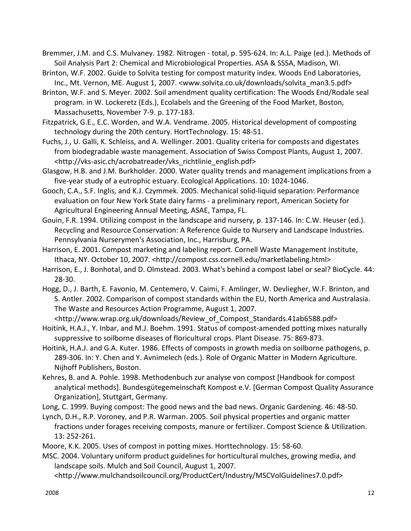Bremmer, J.M. and C.S. Mulvaney. 1982. Nitrogen - total, p. 595-624. In: A.L. Paige (ed.). Methods of Soil Analysis Part 2: Chemical and Microbiological Properties. ASA & SSSA, Madison, WI.

Brinton, W.F. 2002. Guide to Solvita testing for compost maturity index. Woods End Laboratories, Inc., Mt. Vernon, ME. August 1, 2007. <www.solvita.co.uk/downloads/solvita\_man3.5.pdf>

Brinton, W.F. and S. Meyer. 2002. Soil amendment quality certification: The Woods End/Rodale seal program. in W. Lockeretz (Eds.), Ecolabels and the Greening of the Food Market, Boston, Massachusetts, November 7-9. p. 177-183.

Fitzpatrick, G.E., E.C. Worden, and W.A. Vendrame. 2005. Historical development of composting technology during the 20th century. HortTechnology. 15: 48-51.

Fuchs, J., U. Galli, K. Schleiss, and A. Wellinger. 2001. Quality criteria for composts and digestates from biodegradable waste management. Association of Swiss Compost Plants, August 1, 2007. <http://vks-asic.ch/acrobatreader/vks\_richtlinie\_english.pdf>

Glasgow, H.B. and J.M. Burkholder. 2000. Water quality trends and management implications from a five-year study of a eutrophic estuary. Ecological Applications. 10: 1024-1046.

Gooch, C.A., S.F. Inglis, and K.J. Czymmek. 2005. Mechanical solid-liquid separation: Performance evaluation on four New York State dairy farms - a preliminary report, American Society for Agricultural Engineering Annual Meeting, ASAE, Tampa, FL.

Gouin, F.R. 1994. Utilizing compost in the landscape and nursery, p. 137-146. In: C.W. Heuser (ed.). Recycling and Resource Conservation: A Reference Guide to Nursery and Landscape Industries. Pennsylvania Nurserymen's Association, Inc., Harrisburg, PA.

Harrison, E. 2001. Compost marketing and labeling report. Cornell Waste Management Institute, Ithaca, NY. October 10, 2007. <http://compost.css.cornell.edu/marketlabeling.html>

Harrison, E., J. Bonhotal, and D. Olmstead. 2003. What's behind a compost label or seal? BioCycle. 44: 28-30.

Hogg, D., J. Barth, E. Favonio, M. Centemero, V. Caimi, F. Amlinger, W. Devliegher, W.F. Brinton, and S. Antler. 2002. Comparison of compost standards within the EU, North America and Australasia. The Waste and Resources Action Programme, August 1, 2007.

<http://www.wrap.org.uk/downloads/Review\_of\_Compost\_Standards.41ab6588.pdf>

Hoitink, H.A.J., Y. Inbar, and M.J. Boehm. 1991. Status of compost-amended potting mixes naturally suppressive to soilborne diseases of floricultural crops. Plant Disease. 75: 869-873.

Hoitink, H.A.J. and G.A. Kuter. 1986. Effects of composts in growth media on soilborne pathogens, p. 289-306. In: Y. Chen and Y. Avnimelech (eds.). Role of Organic Matter in Modern Agriculture. Nijhoff Publishers, Boston.

Kehres, B. and A. Pohle. 1998. Methodenbuch zur analyse von compost [Handbook for compost analytical methods]. Bundesgütegemeinschaft Kompost e.V. [German Compost Quality Assurance Organization], Stuttgart, Germany.

Long, C. 1999. Buying compost: The good news and the bad news. Organic Gardening. 46: 48-50.

Lynch, D.H., R.P. Voroney, and P.R. Warman. 2005. Soil physical properties and organic matter fractions under forages receiving composts, manure or fertilizer. Compost Science & Utilization. 13: 252-261.

Moore, K.K. 2005. Uses of compost in potting mixes. Horttechnology. 15: 58-60.

MSC. 2004. Voluntary uniform product guidelines for horticultural mulches, growing media, and landscape soils. Mulch and Soil Council, August 1, 2007.

<http://www.mulchandsoilcouncil.org/ProductCert/Industry/MSCVolGuidelines7.0.pdf>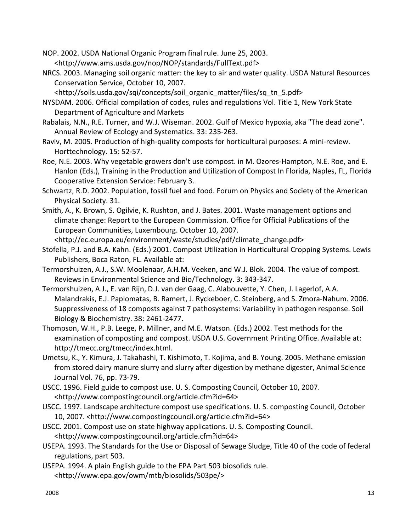NOP. 2002. USDA National Organic Program final rule. June 25, 2003. <http://www.ams.usda.gov/nop/NOP/standards/FullText.pdf>

NRCS. 2003. Managing soil organic matter: the key to air and water quality. USDA Natural Resources Conservation Service, October 10, 2007.

<http://soils.usda.gov/sqi/concepts/soil\_organic\_matter/files/sq\_tn\_5.pdf>

NYSDAM. 2006. Official compilation of codes, rules and regulations Vol. Title 1, New York State Department of Agriculture and Markets

- Rabalais, N.N., R.E. Turner, and W.J. Wiseman. 2002. Gulf of Mexico hypoxia, aka "The dead zone". Annual Review of Ecology and Systematics. 33: 235-263.
- Raviv, M. 2005. Production of high-quality composts for horticultural purposes: A mini-review. Horttechnology. 15: 52-57.
- Roe, N.E. 2003. Why vegetable growers don't use compost. in M. Ozores-Hampton, N.E. Roe, and E. Hanlon (Eds.), Training in the Production and Utilization of Compost In Florida, Naples, FL, Florida Cooperative Extension Service: February 3.
- Schwartz, R.D. 2002. Population, fossil fuel and food. Forum on Physics and Society of the American Physical Society. 31.
- Smith, A., K. Brown, S. Ogilvie, K. Rushton, and J. Bates. 2001. Waste management options and climate change: Report to the European Commission. Office for Official Publications of the European Communities, Luxembourg. October 10, 2007.

<http://ec.europa.eu/environment/waste/studies/pdf/climate\_change.pdf>

- Stofella, P.J. and B.A. Kahn. (Eds.) 2001. Compost Utilization in Horticultural Cropping Systems. Lewis Publishers, Boca Raton, FL. Available at:
- Termorshuizen, A.J., S.W. Moolenaar, A.H.M. Veeken, and W.J. Blok. 2004. The value of compost. Reviews in Environmental Science and Bio/Technology. 3: 343-347.
- Termorshuizen, A.J., E. van Rijn, D.J. van der Gaag, C. Alabouvette, Y. Chen, J. Lagerlof, A.A. Malandrakis, E.J. Paplomatas, B. Ramert, J. Ryckeboer, C. Steinberg, and S. Zmora-Nahum. 2006. Suppressiveness of 18 composts against 7 pathosystems: Variability in pathogen response. Soil Biology & Biochemistry. 38: 2461-2477.
- Thompson, W.H., P.B. Leege, P. Millner, and M.E. Watson. (Eds.) 2002. Test methods for the examination of composting and compost. USDA U.S. Government Printing Office. Available at: http://tmecc.org/tmecc/index.html.
- Umetsu, K., Y. Kimura, J. Takahashi, T. Kishimoto, T. Kojima, and B. Young. 2005. Methane emission from stored dairy manure slurry and slurry after digestion by methane digester, Animal Science Journal Vol. 76, pp. 73-79.
- USCC. 1996. Field guide to compost use. U. S. Composting Council, October 10, 2007. <http://www.compostingcouncil.org/article.cfm?id=64>
- USCC. 1997. Landscape architecture compost use specifications. U. S. composting Council, October 10, 2007. <http://www.compostingcouncil.org/article.cfm?id=64>
- USCC. 2001. Compost use on state highway applications. U. S. Composting Council. <http://www.compostingcouncil.org/article.cfm?id=64>
- USEPA. 1993. The Standards for the Use or Disposal of Sewage Sludge, Title 40 of the code of federal regulations, part 503.
- USEPA. 1994. A plain English guide to the EPA Part 503 biosolids rule. <http://www.epa.gov/owm/mtb/biosolids/503pe/>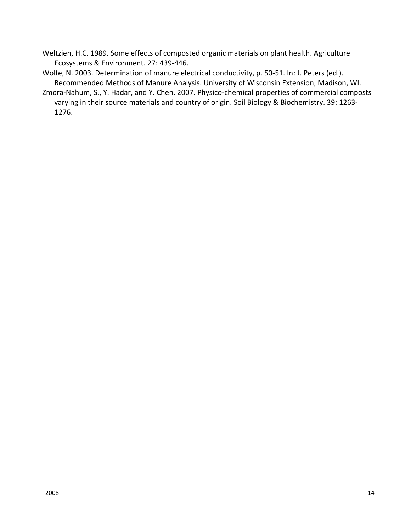- Weltzien, H.C. 1989. Some effects of composted organic materials on plant health. Agriculture Ecosystems & Environment. 27: 439-446.
- Wolfe, N. 2003. Determination of manure electrical conductivity, p. 50-51. In: J. Peters (ed.). Recommended Methods of Manure Analysis. University of Wisconsin Extension, Madison, WI.
- Zmora-Nahum, S., Y. Hadar, and Y. Chen. 2007. Physico-chemical properties of commercial composts varying in their source materials and country of origin. Soil Biology & Biochemistry. 39: 1263- 1276.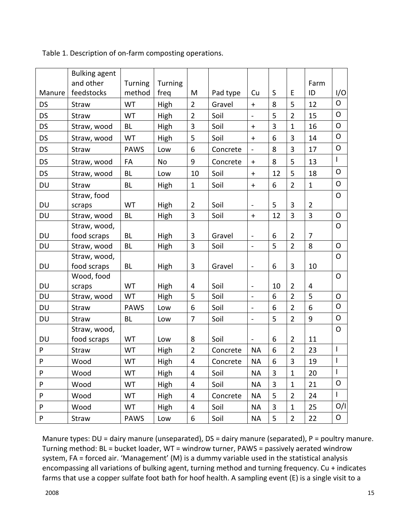|           | <b>Bulking agent</b>    |                          |                 |                         |          |                      |    |                |                |                          |
|-----------|-------------------------|--------------------------|-----------------|-------------------------|----------|----------------------|----|----------------|----------------|--------------------------|
| Manure    | and other<br>feedstocks | <b>Turning</b><br>method | Turning<br>freq | M                       | Pad type | Cu                   | S  | E              | Farm<br>ID     | I/O                      |
| DS        | <b>Straw</b>            | WT                       | High            | $\overline{2}$          | Gravel   | $\ddot{}$            | 8  | 5              | 12             | $\circ$                  |
| <b>DS</b> | Straw                   | <b>WT</b>                | High            | $\overline{2}$          | Soil     | $\equiv$             | 5  | $\overline{2}$ | 15             | O                        |
| <b>DS</b> | Straw, wood             | <b>BL</b>                | High            | 3                       | Soil     | $\ddagger$           | 3  | $\mathbf{1}$   | 16             | $\mathsf O$              |
| DS        | Straw, wood             | <b>WT</b>                | High            | 5                       | Soil     | $\ddagger$           | 6  | 3              | 14             | $\mathsf{O}$             |
| <b>DS</b> | Straw                   | <b>PAWS</b>              | Low             | 6                       | Concrete | $\overline{a}$       | 8  | 3              | 17             | O                        |
| <b>DS</b> | Straw, wood             | FA                       | <b>No</b>       | 9                       | Concrete | ٠                    | 8  | 5              | 13             | L                        |
| DS        | Straw, wood             | <b>BL</b>                | Low             | 10                      | Soil     | $\ddagger$           | 12 | 5              | 18             | O                        |
| <b>DU</b> | Straw                   | <b>BL</b>                | High            | $\mathbf{1}$            | Soil     | $\pm$                | 6  | $\overline{2}$ | $\mathbf{1}$   | $\mathsf O$              |
|           | Straw, food             |                          |                 |                         |          |                      |    |                |                | O                        |
| DU        | scraps                  | <b>WT</b>                | High            | $\overline{2}$          | Soil     | $\blacksquare$       | 5  | 3              | $\overline{2}$ |                          |
| <b>DU</b> | Straw, wood             | <b>BL</b>                | High            | 3                       | Soil     | $\ddot{\phantom{1}}$ | 12 | 3              | 3              | $\mathsf{O}$             |
|           | Straw, wood,            |                          |                 |                         |          |                      |    |                |                | O                        |
| <b>DU</b> | food scraps             | <b>BL</b>                | High            | $\mathbf{3}$            | Gravel   | $\blacksquare$       | 6  | $\overline{2}$ | $\overline{7}$ |                          |
| <b>DU</b> | Straw, wood             | <b>BL</b>                | High            | $\overline{3}$          | Soil     | $\overline{a}$       | 5  | $\overline{2}$ | 8              | O                        |
|           | Straw, wood,            |                          |                 |                         |          |                      |    |                |                | $\mathsf{O}$             |
| DU        | food scraps             | <b>BL</b>                | High            | 3                       | Gravel   | $\blacksquare$       | 6  | 3              | 10             |                          |
|           | Wood, food              |                          |                 |                         |          |                      |    |                |                | $\mathsf{O}$             |
| <b>DU</b> | scraps                  | <b>WT</b>                | High            | 4                       | Soil     | $\sim$               | 10 | $\overline{2}$ | 4              |                          |
| DU        | Straw, wood             | WT                       | High            | 5                       | Soil     | L,                   | 6  | $\overline{2}$ | 5              | O                        |
| <b>DU</b> | Straw                   | <b>PAWS</b>              | Low             | 6                       | Soil     | $\equiv$             | 6  | $\overline{2}$ | 6              | $\mathsf{O}$             |
| DU        | Straw                   | <b>BL</b>                | Low             | $\overline{7}$          | Soil     | $\blacksquare$       | 5  | $\overline{2}$ | 9              | O                        |
|           | Straw, wood,            |                          |                 |                         |          |                      |    |                |                | $\mathsf{O}$             |
| <b>DU</b> | food scraps             | WT                       | Low             | 8                       | Soil     | ä,                   | 6  | $\overline{2}$ | 11             |                          |
| P         | Straw                   | WT                       | High            | $\overline{2}$          | Concrete | <b>NA</b>            | 6  | $\overline{2}$ | 23             | $\mathbf{I}$             |
| ${\sf P}$ | Wood                    | WT                       | High            | $\overline{\mathbf{4}}$ | Concrete | <b>NA</b>            | 6  | 3              | 19             | $\overline{\phantom{a}}$ |
| P         | Wood                    | WT                       | High            | 4                       | Soil     | <b>NA</b>            | 3  | $\mathbf{1}$   | 20             | $\mathsf{I}$             |
| P         | Wood                    | WT                       | High            | 4                       | Soil     | <b>NA</b>            | 3  | $\mathbf{1}$   | 21             | O                        |
| P         | Wood                    | <b>WT</b>                | High            | $\overline{4}$          | Concrete | <b>NA</b>            | 5  | $\overline{2}$ | 24             | L                        |
| P         | Wood                    | WT                       | High            | $\overline{\mathbf{4}}$ | Soil     | <b>NA</b>            | 3  | $\mathbf{1}$   | 25             | O/I                      |
| P         | Straw                   | PAWS                     | Low             | 6                       | Soil     | <b>NA</b>            | 5  | $\overline{2}$ | 22             | 0                        |

Table 1. Description of on-farm composting operations.

Manure types: DU = dairy manure (unseparated), DS = dairy manure (separated), P = poultry manure. Turning method: BL = bucket loader, WT = windrow turner, PAWS = passively aerated windrow system, FA = forced air. 'Management' (M) is a dummy variable used in the statistical analysis encompassing all variations of bulking agent, turning method and turning frequency. Cu + indicates farms that use a copper sulfate foot bath for hoof health. A sampling event (E) is a single visit to a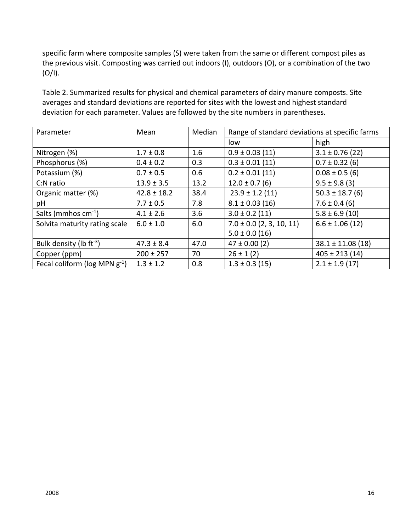specific farm where composite samples (S) were taken from the same or different compost piles as the previous visit. Composting was carried out indoors (I), outdoors (O), or a combination of the two  $(O/I).$ 

Table 2. Summarized results for physical and chemical parameters of dairy manure composts. Site averages and standard deviations are reported for sites with the lowest and highest standard deviation for each parameter. Values are followed by the site numbers in parentheses.

| Parameter                           | Mean            | Median | Range of standard deviations at specific farms |                      |  |
|-------------------------------------|-----------------|--------|------------------------------------------------|----------------------|--|
|                                     |                 |        | low                                            | high                 |  |
| Nitrogen (%)                        | $1.7 \pm 0.8$   | 1.6    | $0.9 \pm 0.03$ (11)                            | $3.1 \pm 0.76$ (22)  |  |
| Phosphorus (%)                      | $0.4 \pm 0.2$   | 0.3    | $0.3 \pm 0.01$ (11)                            | $0.7 \pm 0.32$ (6)   |  |
| Potassium (%)                       | $0.7 \pm 0.5$   | 0.6    | $0.2 \pm 0.01$ (11)                            | $0.08 \pm 0.5$ (6)   |  |
| C:N ratio                           | $13.9 \pm 3.5$  | 13.2   | $12.0 \pm 0.7$ (6)                             | $9.5 \pm 9.8$ (3)    |  |
| Organic matter (%)                  | $42.8 \pm 18.2$ | 38.4   | $23.9 \pm 1.2$ (11)                            | $50.3 \pm 18.7$ (6)  |  |
| pH                                  | $7.7 \pm 0.5$   | 7.8    | $8.1 \pm 0.03$ (16)                            | $7.6 \pm 0.4$ (6)    |  |
| Salts (mmhos $cm^{-1}$ )            | $4.1 \pm 2.6$   | 3.6    | $3.0 \pm 0.2$ (11)                             | $5.8 \pm 6.9$ (10)   |  |
| Solvita maturity rating scale       | $6.0 \pm 1.0$   | 6.0    | $7.0 \pm 0.0$ (2, 3, 10, 11)                   | $6.6 \pm 1.06$ (12)  |  |
|                                     |                 |        | $5.0 \pm 0.0$ (16)                             |                      |  |
| Bulk density (lb $ft^{-3}$ )        | $47.3 \pm 8.4$  | 47.0   | $47 \pm 0.00$ (2)                              | $38.1 \pm 11.08(18)$ |  |
| Copper (ppm)                        | $200 \pm 257$   | 70     | $26 \pm 1$ (2)                                 | $405 \pm 213(14)$    |  |
| Fecal coliform ( $log MPN g^{-1}$ ) | $1.3 \pm 1.2$   | 0.8    | $1.3 \pm 0.3$ (15)                             | $2.1 \pm 1.9$ (17)   |  |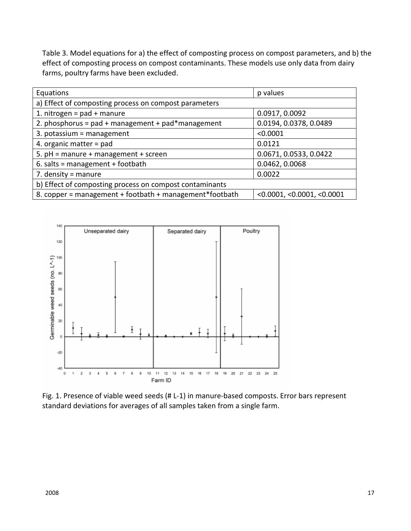Table 3. Model equations for a) the effect of composting process on compost parameters, and b) the effect of composting process on compost contaminants. These models use only data from dairy farms, poultry farms have been excluded.

| Equations                                                                                     | p values               |  |  |  |  |
|-----------------------------------------------------------------------------------------------|------------------------|--|--|--|--|
| a) Effect of composting process on compost parameters                                         |                        |  |  |  |  |
| 1. nitrogen = $pad + manure$                                                                  | 0.0917, 0.0092         |  |  |  |  |
| 2. phosphorus = $pad + management + pad*$ management                                          | 0.0194, 0.0378, 0.0489 |  |  |  |  |
| 3. potassium = management                                                                     | < 0.0001               |  |  |  |  |
| 4. organic matter $=$ pad                                                                     | 0.0121                 |  |  |  |  |
| 5. $pH =$ manure + management + screen                                                        | 0.0671, 0.0533, 0.0422 |  |  |  |  |
| 6. salts = management + footbath                                                              | 0.0462, 0.0068         |  |  |  |  |
| 7. density = manure                                                                           | 0.0022                 |  |  |  |  |
| b) Effect of composting process on compost contaminants                                       |                        |  |  |  |  |
| 8. copper = management + footbath + management*footbath<br>$<$ 0.0001, $<$ 0.0001, $<$ 0.0001 |                        |  |  |  |  |



Fig. 1. Presence of viable weed seeds (# L-1) in manure-based composts. Error bars represent standard deviations for averages of all samples taken from a single farm.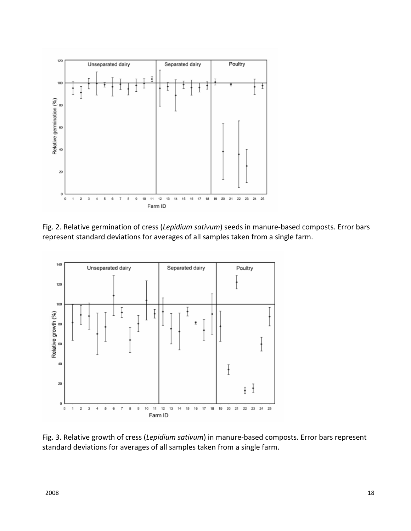

Fig. 2. Relative germination of cress (*Lepidium sativum*) seeds in manure-based composts. Error bars represent standard deviations for averages of all samples taken from a single farm.



Fig. 3. Relative growth of cress (*Lepidium sativum*) in manure-based composts. Error bars represent standard deviations for averages of all samples taken from a single farm.